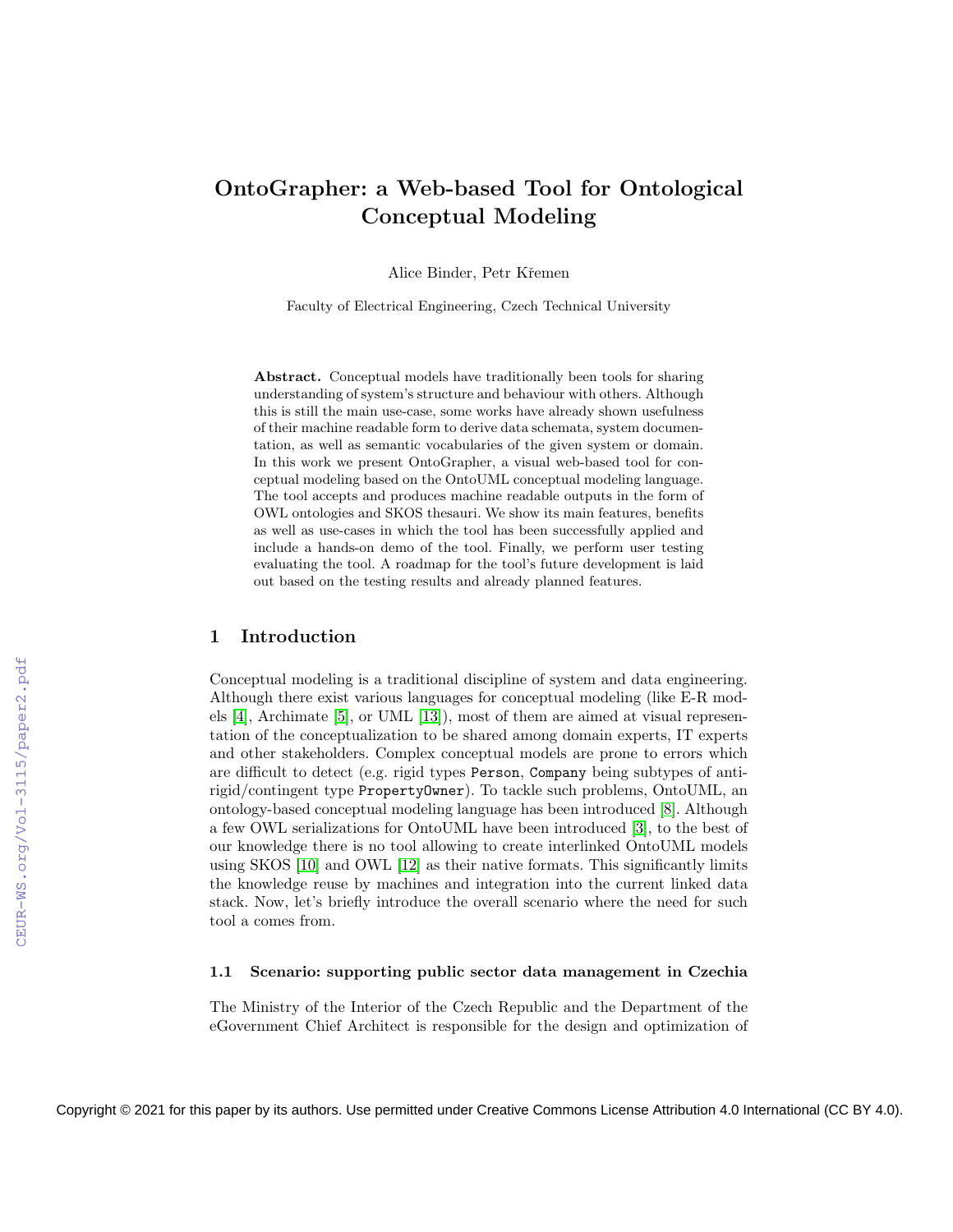# OntoGrapher: a Web-based Tool for Ontological Conceptual Modeling

Alice Binder, Petr Kˇremen

Faculty of Electrical Engineering, Czech Technical University

Abstract. Conceptual models have traditionally been tools for sharing understanding of system's structure and behaviour with others. Although this is still the main use-case, some works have already shown usefulness of their machine readable form to derive data schemata, system documentation, as well as semantic vocabularies of the given system or domain. In this work we present OntoGrapher, a visual web-based tool for conceptual modeling based on the OntoUML conceptual modeling language. The tool accepts and produces machine readable outputs in the form of OWL ontologies and SKOS thesauri. We show its main features, benefits as well as use-cases in which the tool has been successfully applied and include a hands-on demo of the tool. Finally, we perform user testing evaluating the tool. A roadmap for the tool's future development is laid out based on the testing results and already planned features.

### 1 Introduction

Conceptual modeling is a traditional discipline of system and data engineering. Although there exist various languages for conceptual modeling (like E-R models [\[4\]](#page--1-0), Archimate [\[5\]](#page--1-1), or UML [\[13\]](#page--1-2)), most of them are aimed at visual representation of the conceptualization to be shared among domain experts, IT experts and other stakeholders. Complex conceptual models are prone to errors which are difficult to detect (e.g. rigid types Person, Company being subtypes of antirigid/contingent type PropertyOwner). To tackle such problems, OntoUML, an ontology-based conceptual modeling language has been introduced [\[8\]](#page--1-3). Although a few OWL serializations for OntoUML have been introduced [\[3\]](#page--1-4), to the best of our knowledge there is no tool allowing to create interlinked OntoUML models using SKOS [\[10\]](#page--1-5) and OWL [\[12\]](#page--1-6) as their native formats. This significantly limits the knowledge reuse by machines and integration into the current linked data stack. Now, let's briefly introduce the overall scenario where the need for such tool a comes from.

#### 1.1 Scenario: supporting public sector data management in Czechia

The Ministry of the Interior of the Czech Republic and the Department of the eGovernment Chief Architect is responsible for the design and optimization of

Copyright © 2021 for this paper by its authors. Use permitted under Creative Commons License Attribution 4.0 International (CC BY 4.0).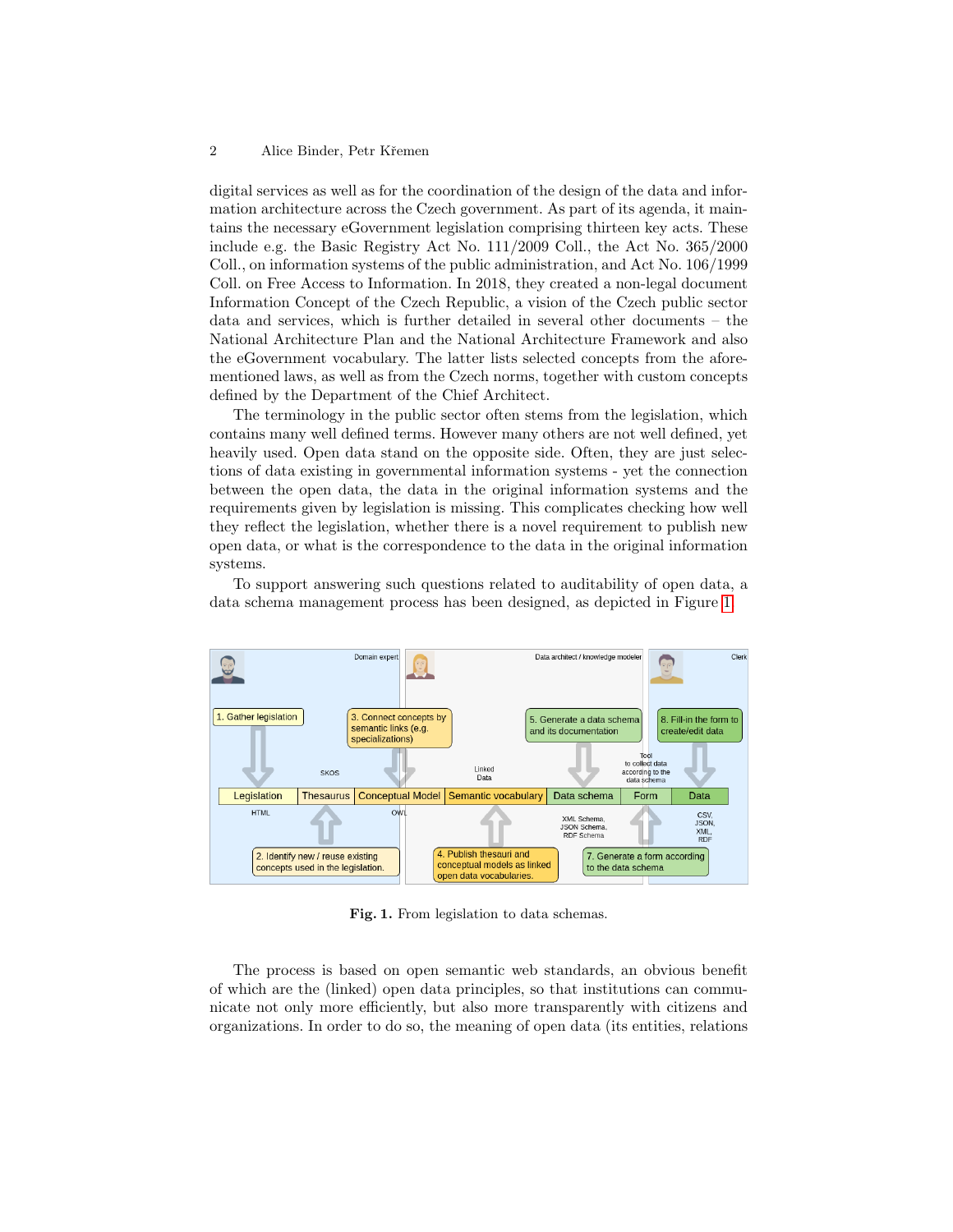digital services as well as for the coordination of the design of the data and information architecture across the Czech government. As part of its agenda, it maintains the necessary eGovernment legislation comprising thirteen key acts. These include e.g. the Basic Registry Act No. 111/2009 Coll., the Act No. 365/2000 Coll., on information systems of the public administration, and Act No. 106/1999 Coll. on Free Access to Information. In 2018, they created a non-legal document Information Concept of the Czech Republic, a vision of the Czech public sector data and services, which is further detailed in several other documents – the National Architecture Plan and the National Architecture Framework and also the eGovernment vocabulary. The latter lists selected concepts from the aforementioned laws, as well as from the Czech norms, together with custom concepts defined by the Department of the Chief Architect.

The terminology in the public sector often stems from the legislation, which contains many well defined terms. However many others are not well defined, yet heavily used. Open data stand on the opposite side. Often, they are just selections of data existing in governmental information systems - yet the connection between the open data, the data in the original information systems and the requirements given by legislation is missing. This complicates checking how well they reflect the legislation, whether there is a novel requirement to publish new open data, or what is the correspondence to the data in the original information systems.

To support answering such questions related to auditability of open data, a data schema management process has been designed, as depicted in Figure [1.](#page-1-0)



<span id="page-1-0"></span>Fig. 1. From legislation to data schemas.

The process is based on open semantic web standards, an obvious benefit of which are the (linked) open data principles, so that institutions can communicate not only more efficiently, but also more transparently with citizens and organizations. In order to do so, the meaning of open data (its entities, relations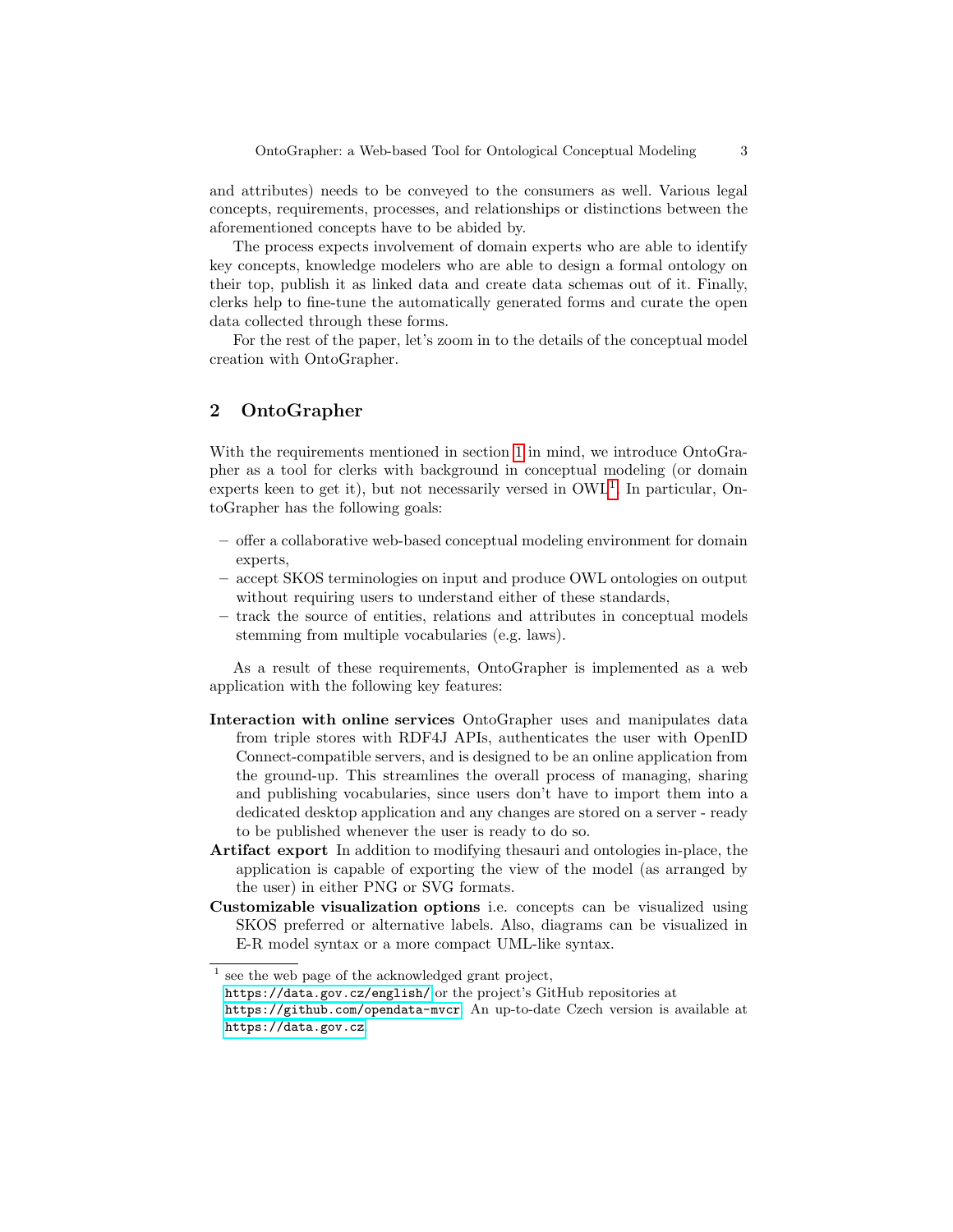and attributes) needs to be conveyed to the consumers as well. Various legal concepts, requirements, processes, and relationships or distinctions between the aforementioned concepts have to be abided by.

The process expects involvement of domain experts who are able to identify key concepts, knowledge modelers who are able to design a formal ontology on their top, publish it as linked data and create data schemas out of it. Finally, clerks help to fine-tune the automatically generated forms and curate the open data collected through these forms.

For the rest of the paper, let's zoom in to the details of the conceptual model creation with OntoGrapher.

# 2 OntoGrapher

With the requirements mentioned in section [1](#page--1-7) in mind, we introduce OntoGrapher as a tool for clerks with background in conceptual modeling (or domain experts keen to get it), but not necessarily versed in  $\text{OWL}^1$  $\text{OWL}^1$ . In particular, OntoGrapher has the following goals:

- offer a collaborative web-based conceptual modeling environment for domain experts,
- accept SKOS terminologies on input and produce OWL ontologies on output without requiring users to understand either of these standards,
- track the source of entities, relations and attributes in conceptual models stemming from multiple vocabularies (e.g. laws).

As a result of these requirements, OntoGrapher is implemented as a web application with the following key features:

- Interaction with online services OntoGrapher uses and manipulates data from triple stores with RDF4J APIs, authenticates the user with OpenID Connect-compatible servers, and is designed to be an online application from the ground-up. This streamlines the overall process of managing, sharing and publishing vocabularies, since users don't have to import them into a dedicated desktop application and any changes are stored on a server - ready to be published whenever the user is ready to do so.
- Artifact export In addition to modifying thesauri and ontologies in-place, the application is capable of exporting the view of the model (as arranged by the user) in either PNG or SVG formats.
- Customizable visualization options i.e. concepts can be visualized using SKOS preferred or alternative labels. Also, diagrams can be visualized in E-R model syntax or a more compact UML-like syntax.

<span id="page-2-0"></span><sup>&</sup>lt;sup>1</sup> see the web page of the acknowledged grant project,

<https://data.gov.cz/english/> or the project's GitHub repositories at

<https://github.com/opendata-mvcr>. An up-to-date Czech version is available at <https://data.gov.cz>.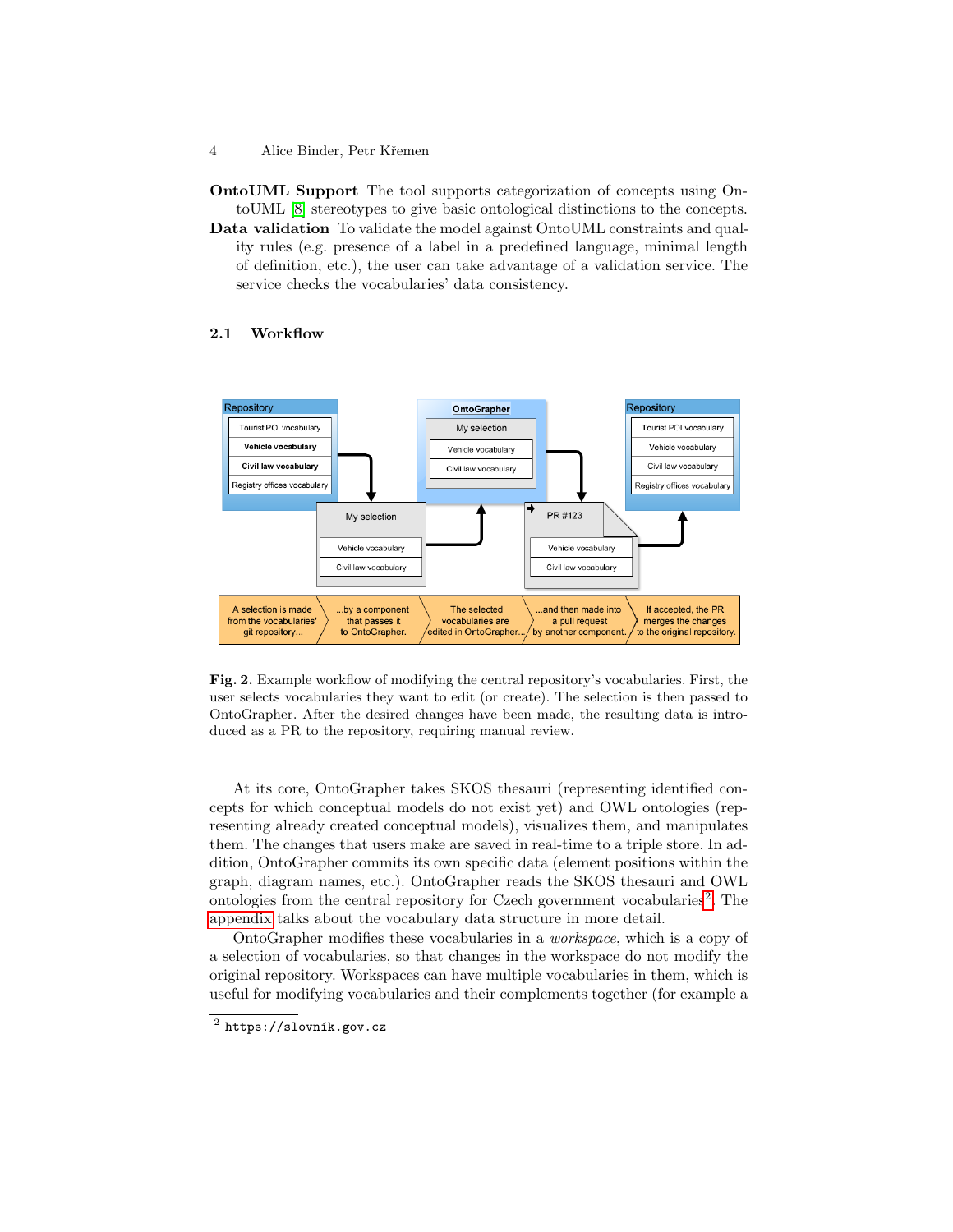OntoUML Support The tool supports categorization of concepts using OntoUML [\[8\]](#page-13-0) stereotypes to give basic ontological distinctions to the concepts.

Data validation To validate the model against OntoUML constraints and quality rules (e.g. presence of a label in a predefined language, minimal length of definition, etc.), the user can take advantage of a validation service. The service checks the vocabularies' data consistency.

#### <span id="page-3-2"></span>2.1 Workflow



<span id="page-3-1"></span>Fig. 2. Example workflow of modifying the central repository's vocabularies. First, the user selects vocabularies they want to edit (or create). The selection is then passed to OntoGrapher. After the desired changes have been made, the resulting data is introduced as a PR to the repository, requiring manual review.

At its core, OntoGrapher takes SKOS thesauri (representing identified concepts for which conceptual models do not exist yet) and OWL ontologies (representing already created conceptual models), visualizes them, and manipulates them. The changes that users make are saved in real-time to a triple store. In addition, OntoGrapher commits its own specific data (element positions within the graph, diagram names, etc.). OntoGrapher reads the SKOS thesauri and OWL ontologies from the central repository for Czech government vocabularies<sup>[2](#page-3-0)</sup>. The [appendix](#page-11-0) talks about the vocabulary data structure in more detail.

OntoGrapher modifies these vocabularies in a workspace, which is a copy of a selection of vocabularies, so that changes in the workspace do not modify the original repository. Workspaces can have multiple vocabularies in them, which is useful for modifying vocabularies and their complements together (for example a

<sup>4</sup> Alice Binder, Petr Křemen

<span id="page-3-0"></span> $^2$  https://slovník.gov.cz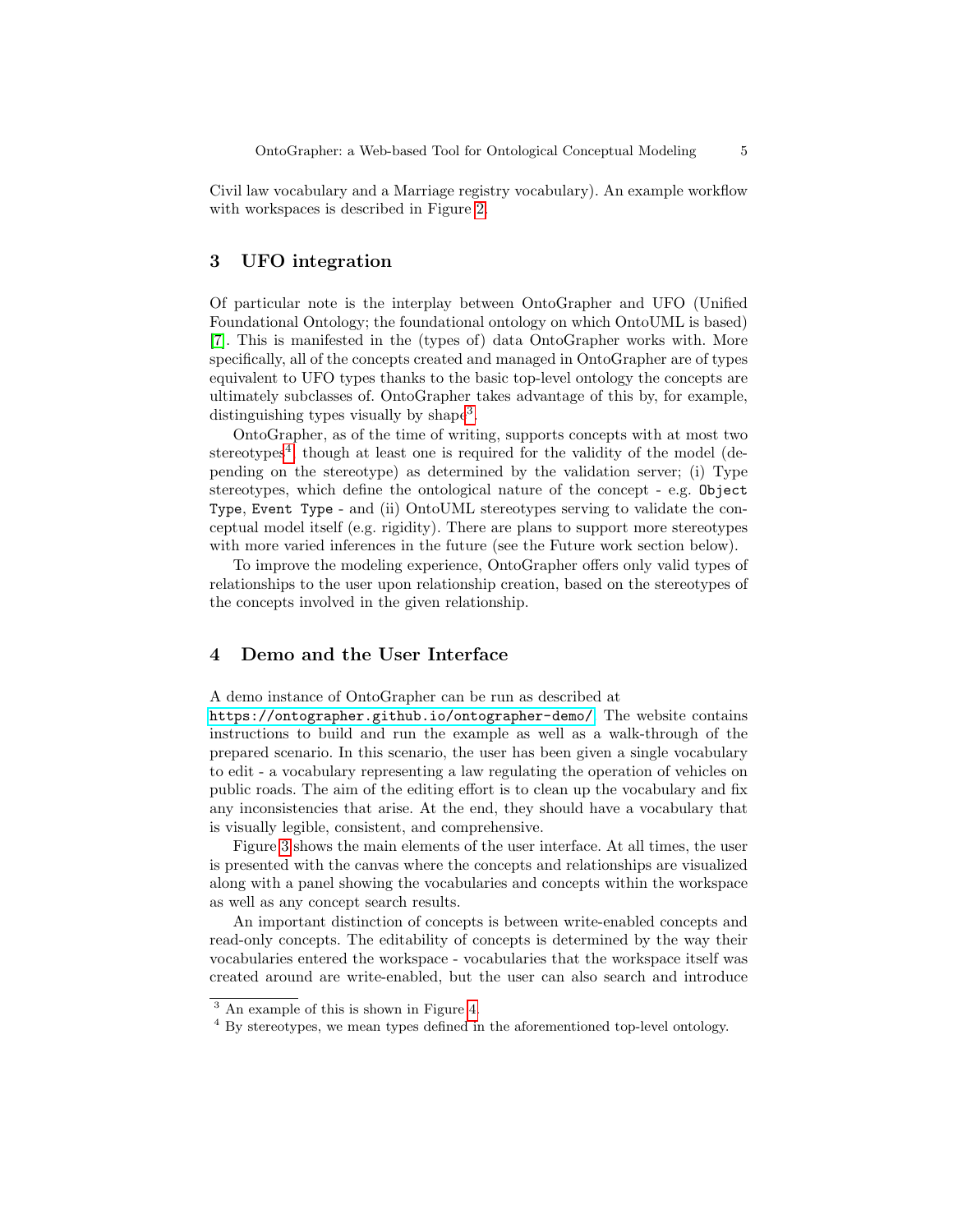Civil law vocabulary and a Marriage registry vocabulary). An example workflow with workspaces is described in Figure [2.](#page-3-1)

# 3 UFO integration

Of particular note is the interplay between OntoGrapher and UFO (Unified Foundational Ontology; the foundational ontology on which OntoUML is based) [\[7\]](#page-13-1). This is manifested in the (types of) data OntoGrapher works with. More specifically, all of the concepts created and managed in OntoGrapher are of types equivalent to UFO types thanks to the basic top-level ontology the concepts are ultimately subclasses of. OntoGrapher takes advantage of this by, for example, distinguishing types visually by shape<sup>[3](#page-4-0)</sup>.

OntoGrapher, as of the time of writing, supports concepts with at most two stereotypes<sup>[4](#page-4-1)</sup>, though at least one is required for the validity of the model (depending on the stereotype) as determined by the validation server; (i) Type stereotypes, which define the ontological nature of the concept - e.g. Object Type, Event Type - and (ii) OntoUML stereotypes serving to validate the conceptual model itself (e.g. rigidity). There are plans to support more stereotypes with more varied inferences in the future (see the Future work section below).

To improve the modeling experience, OntoGrapher offers only valid types of relationships to the user upon relationship creation, based on the stereotypes of the concepts involved in the given relationship.

# <span id="page-4-2"></span>4 Demo and the User Interface

A demo instance of OntoGrapher can be run as described at

<https://ontographer.github.io/ontographer-demo/>. The website contains instructions to build and run the example as well as a walk-through of the prepared scenario. In this scenario, the user has been given a single vocabulary to edit - a vocabulary representing a law regulating the operation of vehicles on public roads. The aim of the editing effort is to clean up the vocabulary and fix any inconsistencies that arise. At the end, they should have a vocabulary that is visually legible, consistent, and comprehensive.

Figure [3](#page-5-0) shows the main elements of the user interface. At all times, the user is presented with the canvas where the concepts and relationships are visualized along with a panel showing the vocabularies and concepts within the workspace as well as any concept search results.

An important distinction of concepts is between write-enabled concepts and read-only concepts. The editability of concepts is determined by the way their vocabularies entered the workspace - vocabularies that the workspace itself was created around are write-enabled, but the user can also search and introduce

<span id="page-4-0"></span><sup>3</sup> An example of this is shown in Figure [4.](#page-6-0)

<span id="page-4-1"></span><sup>&</sup>lt;sup>4</sup> By stereotypes, we mean types defined in the aforementioned top-level ontology.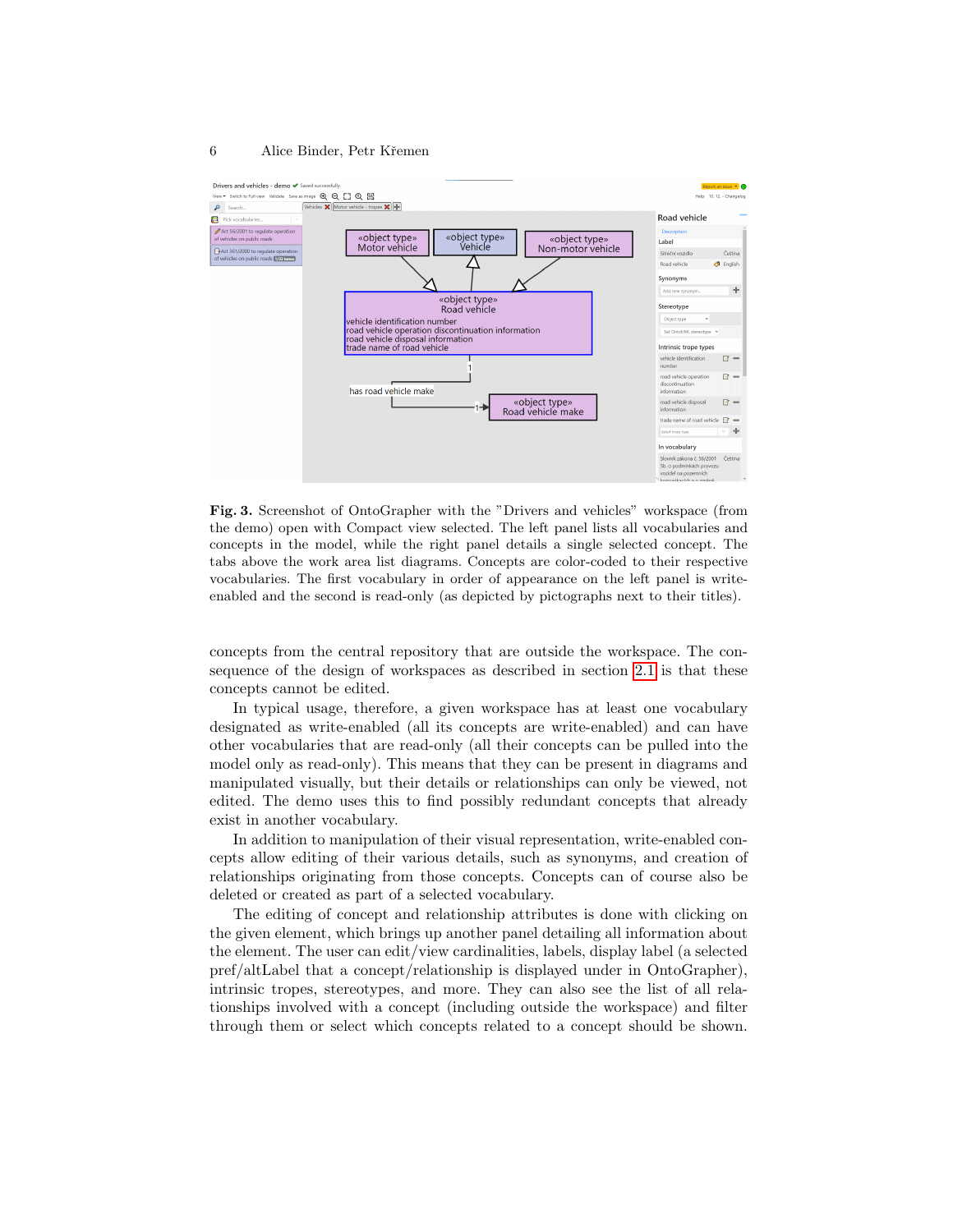

<span id="page-5-0"></span>Fig. 3. Screenshot of OntoGrapher with the "Drivers and vehicles" workspace (from the demo) open with Compact view selected. The left panel lists all vocabularies and concepts in the model, while the right panel details a single selected concept. The tabs above the work area list diagrams. Concepts are color-coded to their respective vocabularies. The first vocabulary in order of appearance on the left panel is writeenabled and the second is read-only (as depicted by pictographs next to their titles).

concepts from the central repository that are outside the workspace. The consequence of the design of workspaces as described in section [2.1](#page-3-2) is that these concepts cannot be edited.

In typical usage, therefore, a given workspace has at least one vocabulary designated as write-enabled (all its concepts are write-enabled) and can have other vocabularies that are read-only (all their concepts can be pulled into the model only as read-only). This means that they can be present in diagrams and manipulated visually, but their details or relationships can only be viewed, not edited. The demo uses this to find possibly redundant concepts that already exist in another vocabulary.

In addition to manipulation of their visual representation, write-enabled concepts allow editing of their various details, such as synonyms, and creation of relationships originating from those concepts. Concepts can of course also be deleted or created as part of a selected vocabulary.

The editing of concept and relationship attributes is done with clicking on the given element, which brings up another panel detailing all information about the element. The user can edit/view cardinalities, labels, display label (a selected pref/altLabel that a concept/relationship is displayed under in OntoGrapher), intrinsic tropes, stereotypes, and more. They can also see the list of all relationships involved with a concept (including outside the workspace) and filter through them or select which concepts related to a concept should be shown.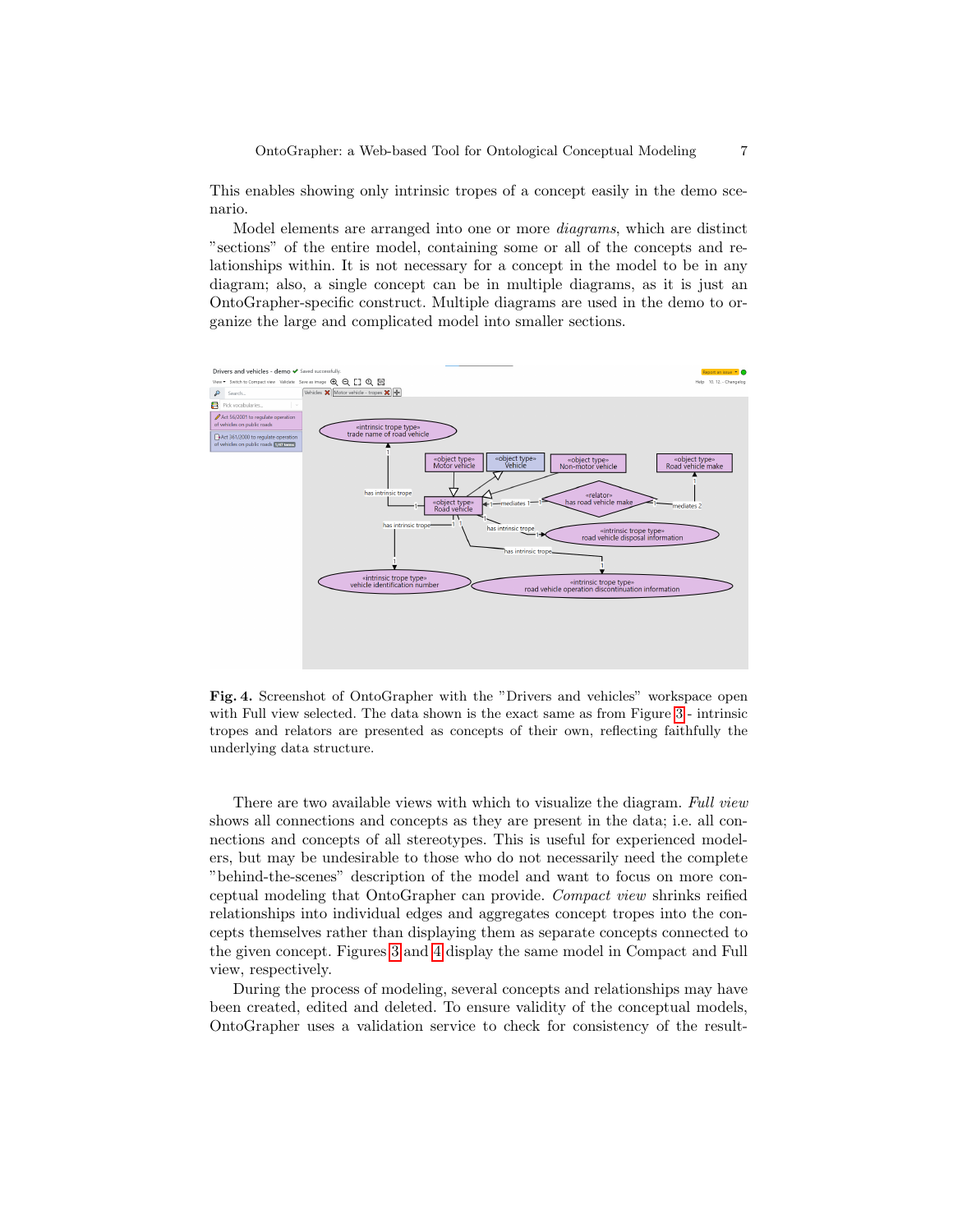This enables showing only intrinsic tropes of a concept easily in the demo scenario.

Model elements are arranged into one or more diagrams, which are distinct "sections" of the entire model, containing some or all of the concepts and relationships within. It is not necessary for a concept in the model to be in any diagram; also, a single concept can be in multiple diagrams, as it is just an OntoGrapher-specific construct. Multiple diagrams are used in the demo to organize the large and complicated model into smaller sections.



<span id="page-6-0"></span>Fig. 4. Screenshot of OntoGrapher with the "Drivers and vehicles" workspace open with Full view selected. The data shown is the exact same as from Figure [3](#page-5-0) - intrinsic tropes and relators are presented as concepts of their own, reflecting faithfully the underlying data structure.

There are two available views with which to visualize the diagram. Full view shows all connections and concepts as they are present in the data; i.e. all connections and concepts of all stereotypes. This is useful for experienced modelers, but may be undesirable to those who do not necessarily need the complete "behind-the-scenes" description of the model and want to focus on more conceptual modeling that OntoGrapher can provide. Compact view shrinks reified relationships into individual edges and aggregates concept tropes into the concepts themselves rather than displaying them as separate concepts connected to the given concept. Figures [3](#page-5-0) and [4](#page-6-0) display the same model in Compact and Full view, respectively.

During the process of modeling, several concepts and relationships may have been created, edited and deleted. To ensure validity of the conceptual models, OntoGrapher uses a validation service to check for consistency of the result-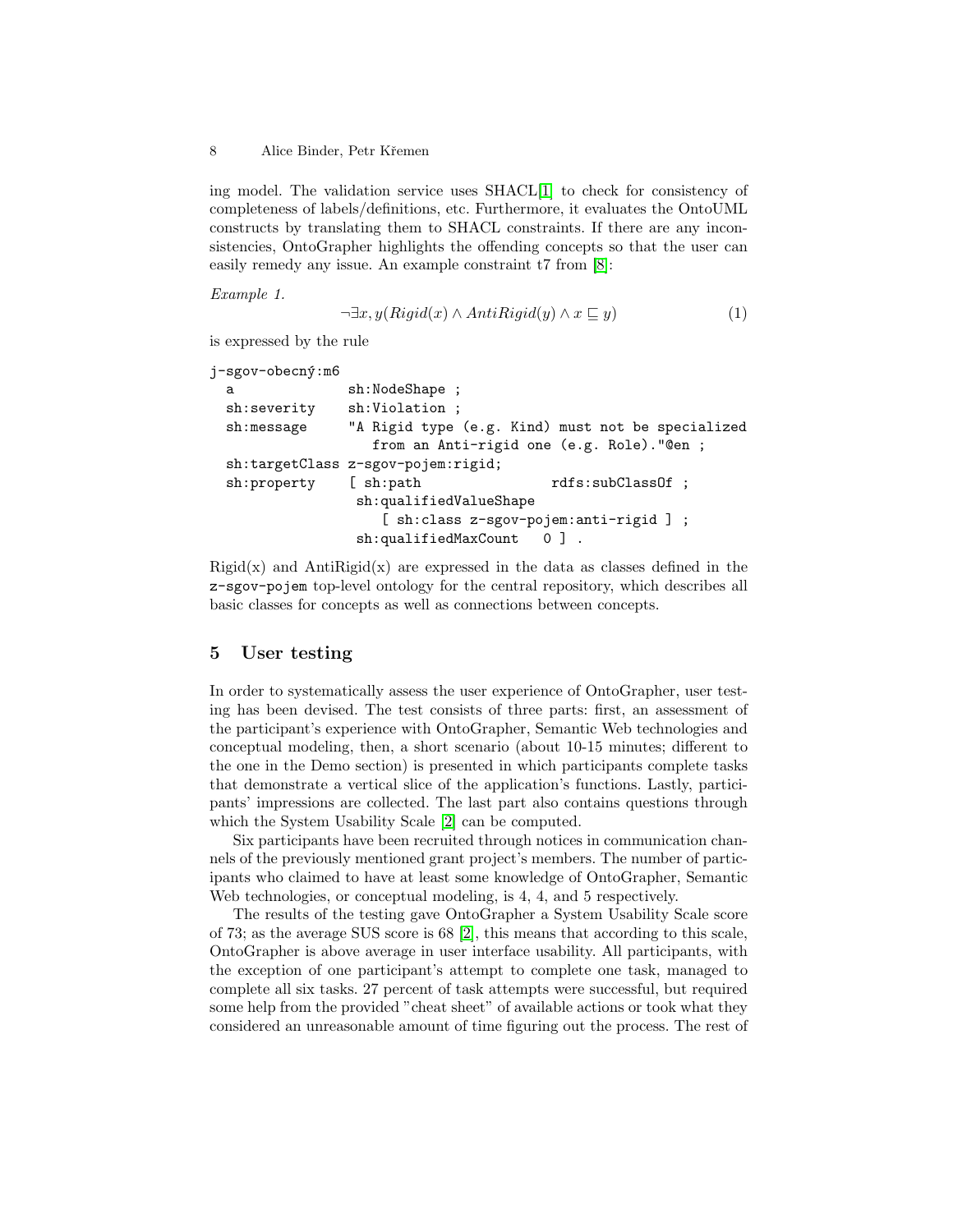ing model. The validation service uses SHACL[\[1\]](#page-13-2) to check for consistency of completeness of labels/definitions, etc. Furthermore, it evaluates the OntoUML constructs by translating them to SHACL constraints. If there are any inconsistencies, OntoGrapher highlights the offending concepts so that the user can easily remedy any issue. An example constraint t7 from [\[8\]](#page-13-0):

Example 1.

$$
\neg \exists x, y(Rigid(x) \land AntiRight(y) \land x \sqsubseteq y)
$$
\n
$$
(1)
$$

is expressed by the rule

```
j-sgov-obecný:m6
 a sh:NodeShape ;
 sh:severity sh:Violation ;
 sh:message "A Rigid type (e.g. Kind) must not be specialized
                  from an Anti-rigid one (e.g. Role)."@en ;
 sh:targetClass z-sgov-pojem:rigid;
 sh:property [ sh:path rdfs:subClassOf ;
                sh:qualifiedValueShape
                   [ sh:class z-sgov-pojem:anti-rigid ] ;
                sh:qualifiedMaxCount 0 ].
```
 $Rigid(x)$  and  $AntiRigid(x)$  are expressed in the data as classes defined in the z-sgov-pojem top-level ontology for the central repository, which describes all basic classes for concepts as well as connections between concepts.

# 5 User testing

In order to systematically assess the user experience of OntoGrapher, user testing has been devised. The test consists of three parts: first, an assessment of the participant's experience with OntoGrapher, Semantic Web technologies and conceptual modeling, then, a short scenario (about 10-15 minutes; different to the one in the Demo section) is presented in which participants complete tasks that demonstrate a vertical slice of the application's functions. Lastly, participants' impressions are collected. The last part also contains questions through which the System Usability Scale [\[2\]](#page-13-3) can be computed.

Six participants have been recruited through notices in communication channels of the previously mentioned grant project's members. The number of participants who claimed to have at least some knowledge of OntoGrapher, Semantic Web technologies, or conceptual modeling, is 4, 4, and 5 respectively.

The results of the testing gave OntoGrapher a System Usability Scale score of 73; as the average SUS score is 68 [\[2\]](#page-13-3), this means that according to this scale, OntoGrapher is above average in user interface usability. All participants, with the exception of one participant's attempt to complete one task, managed to complete all six tasks. 27 percent of task attempts were successful, but required some help from the provided "cheat sheet" of available actions or took what they considered an unreasonable amount of time figuring out the process. The rest of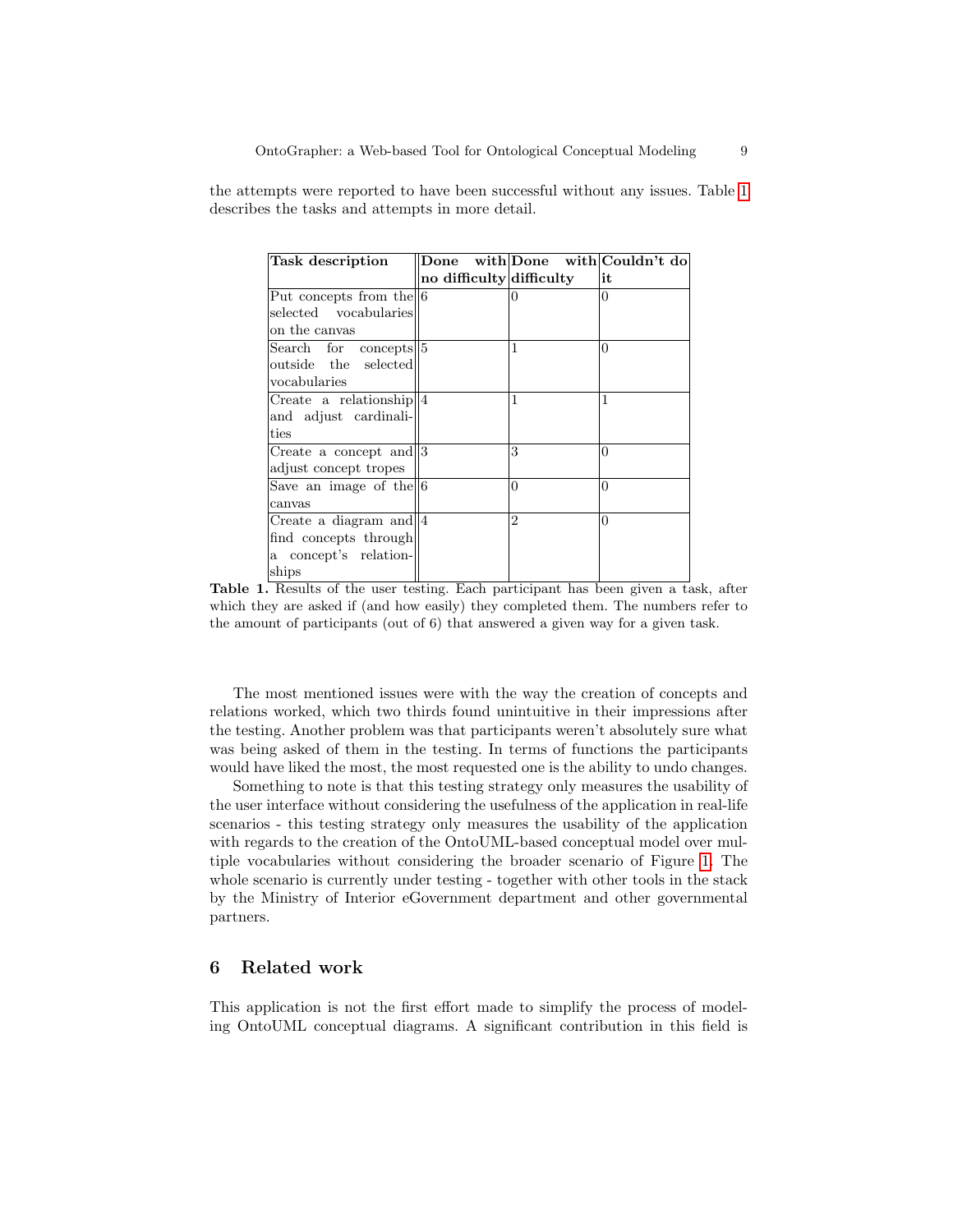the attempts were reported to have been successful without any issues. Table [1](#page-8-0) describes the tasks and attempts in more detail.

| <b>Task description</b>     | Done with Done with Couldn't do |                |          |
|-----------------------------|---------------------------------|----------------|----------|
|                             | no difficulty difficulty        |                | lit      |
| Put concepts from the 6     |                                 | 0              | 0        |
| selected vocabularies       |                                 |                |          |
| on the canvas               |                                 |                |          |
| Search for concepts 5       |                                 | 1              | $\theta$ |
| outside the selected        |                                 |                |          |
| vocabularies                |                                 |                |          |
| Create a relationship $  4$ |                                 | 1              | 1        |
| and adjust cardinali-       |                                 |                |          |
| ties                        |                                 |                |          |
| Create a concept and 3      |                                 | 3              | $\Omega$ |
| adjust concept tropes       |                                 |                |          |
| Save an image of the $ 6$   |                                 | $\Omega$       | $\theta$ |
| canvas                      |                                 |                |          |
| Create a diagram and $  4$  |                                 | $\overline{2}$ | $\theta$ |
| find concepts through       |                                 |                |          |
| a concept's relation-       |                                 |                |          |
| ships                       |                                 |                |          |

<span id="page-8-0"></span>Table 1. Results of the user testing. Each participant has been given a task, after which they are asked if (and how easily) they completed them. The numbers refer to the amount of participants (out of 6) that answered a given way for a given task.

The most mentioned issues were with the way the creation of concepts and relations worked, which two thirds found unintuitive in their impressions after the testing. Another problem was that participants weren't absolutely sure what was being asked of them in the testing. In terms of functions the participants would have liked the most, the most requested one is the ability to undo changes.

Something to note is that this testing strategy only measures the usability of the user interface without considering the usefulness of the application in real-life scenarios - this testing strategy only measures the usability of the application with regards to the creation of the OntoUML-based conceptual model over multiple vocabularies without considering the broader scenario of Figure [1.](#page-1-0) The whole scenario is currently under testing - together with other tools in the stack by the Ministry of Interior eGovernment department and other governmental partners.

# 6 Related work

This application is not the first effort made to simplify the process of modeling OntoUML conceptual diagrams. A significant contribution in this field is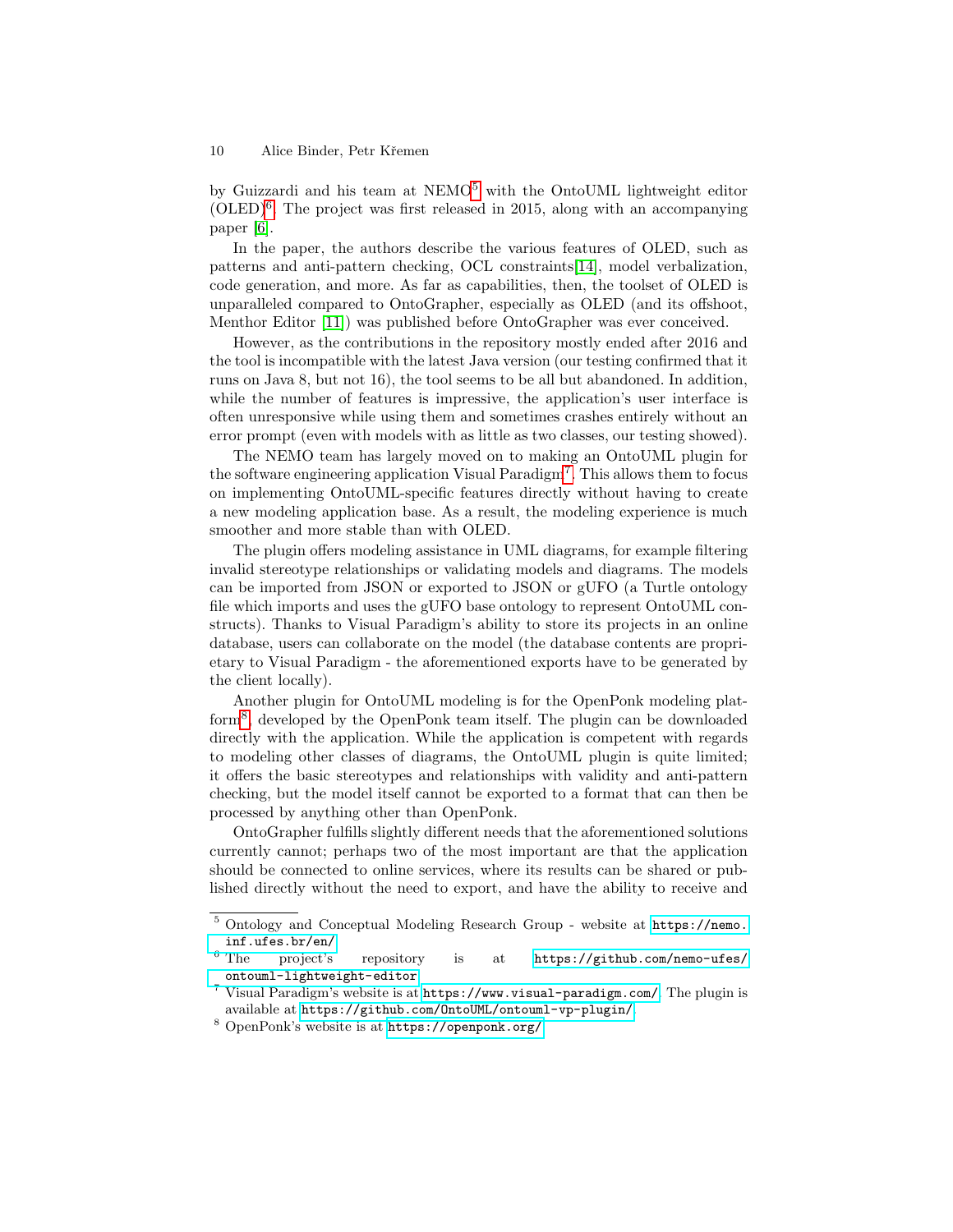by Guizzardi and his team at NEMO[5](#page-9-0) with the OntoUML lightweight editor  $(OLED)^6$  $(OLED)^6$ . The project was first released in 2015, along with an accompanying paper [\[6\]](#page-13-4).

In the paper, the authors describe the various features of OLED, such as patterns and anti-pattern checking, OCL constraints[\[14\]](#page-14-0), model verbalization, code generation, and more. As far as capabilities, then, the toolset of OLED is unparalleled compared to OntoGrapher, especially as OLED (and its offshoot, Menthor Editor [\[11\]](#page-14-1)) was published before OntoGrapher was ever conceived.

However, as the contributions in the repository mostly ended after 2016 and the tool is incompatible with the latest Java version (our testing confirmed that it runs on Java 8, but not 16), the tool seems to be all but abandoned. In addition, while the number of features is impressive, the application's user interface is often unresponsive while using them and sometimes crashes entirely without an error prompt (even with models with as little as two classes, our testing showed).

The NEMO team has largely moved on to making an OntoUML plugin for the software engineering application Visual Paradigm<sup>[7](#page-9-2)</sup>. This allows them to focus on implementing OntoUML-specific features directly without having to create a new modeling application base. As a result, the modeling experience is much smoother and more stable than with OLED.

The plugin offers modeling assistance in UML diagrams, for example filtering invalid stereotype relationships or validating models and diagrams. The models can be imported from JSON or exported to JSON or gUFO (a Turtle ontology file which imports and uses the gUFO base ontology to represent OntoUML constructs). Thanks to Visual Paradigm's ability to store its projects in an online database, users can collaborate on the model (the database contents are proprietary to Visual Paradigm - the aforementioned exports have to be generated by the client locally).

Another plugin for OntoUML modeling is for the OpenPonk modeling platform[8](#page-9-3) , developed by the OpenPonk team itself. The plugin can be downloaded directly with the application. While the application is competent with regards to modeling other classes of diagrams, the OntoUML plugin is quite limited; it offers the basic stereotypes and relationships with validity and anti-pattern checking, but the model itself cannot be exported to a format that can then be processed by anything other than OpenPonk.

OntoGrapher fulfills slightly different needs that the aforementioned solutions currently cannot; perhaps two of the most important are that the application should be connected to online services, where its results can be shared or published directly without the need to export, and have the ability to receive and

<span id="page-9-0"></span><sup>5</sup> Ontology and Conceptual Modeling Research Group - website at [https://nemo.](https://nemo.inf.ufes.br/en/)  $\inf$ .ufes.br/en/<br>6 The project's

<span id="page-9-1"></span>project's repository is at [https://github.com/nemo-ufes/](https://github.com/nemo-ufes/ontouml-lightweight-editor) [ontouml-lightweight-editor](https://github.com/nemo-ufes/ontouml-lightweight-editor).

<span id="page-9-2"></span> $^7$  Visual Paradigm's website is at  ${\tt https://www.visual-paradigm.com/.}$  ${\tt https://www.visual-paradigm.com/.}$  ${\tt https://www.visual-paradigm.com/.}$  The plugin is available at <https://github.com/OntoUML/ontouml-vp-plugin/>.

<span id="page-9-3"></span><sup>8</sup> OpenPonk's website is at <https://openponk.org/>.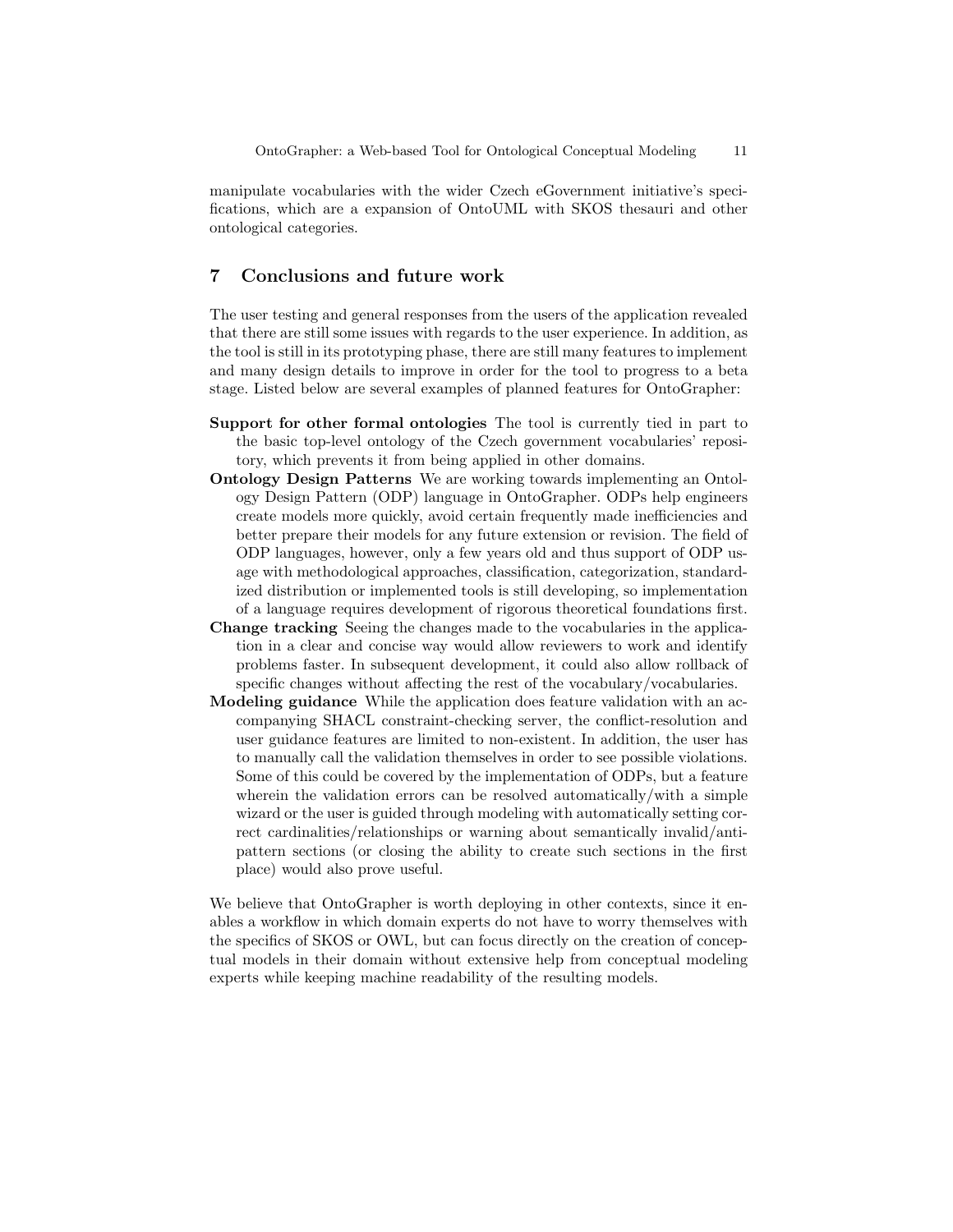manipulate vocabularies with the wider Czech eGovernment initiative's specifications, which are a expansion of OntoUML with SKOS thesauri and other ontological categories.

### 7 Conclusions and future work

The user testing and general responses from the users of the application revealed that there are still some issues with regards to the user experience. In addition, as the tool is still in its prototyping phase, there are still many features to implement and many design details to improve in order for the tool to progress to a beta stage. Listed below are several examples of planned features for OntoGrapher:

- Support for other formal ontologies The tool is currently tied in part to the basic top-level ontology of the Czech government vocabularies' repository, which prevents it from being applied in other domains.
- Ontology Design Patterns We are working towards implementing an Ontology Design Pattern (ODP) language in OntoGrapher. ODPs help engineers create models more quickly, avoid certain frequently made inefficiencies and better prepare their models for any future extension or revision. The field of ODP languages, however, only a few years old and thus support of ODP usage with methodological approaches, classification, categorization, standardized distribution or implemented tools is still developing, so implementation of a language requires development of rigorous theoretical foundations first.
- Change tracking Seeing the changes made to the vocabularies in the application in a clear and concise way would allow reviewers to work and identify problems faster. In subsequent development, it could also allow rollback of specific changes without affecting the rest of the vocabulary/vocabularies.
- Modeling guidance While the application does feature validation with an accompanying SHACL constraint-checking server, the conflict-resolution and user guidance features are limited to non-existent. In addition, the user has to manually call the validation themselves in order to see possible violations. Some of this could be covered by the implementation of ODPs, but a feature wherein the validation errors can be resolved automatically/with a simple wizard or the user is guided through modeling with automatically setting correct cardinalities/relationships or warning about semantically invalid/antipattern sections (or closing the ability to create such sections in the first place) would also prove useful.

We believe that OntoGrapher is worth deploying in other contexts, since it enables a workflow in which domain experts do not have to worry themselves with the specifics of SKOS or OWL, but can focus directly on the creation of conceptual models in their domain without extensive help from conceptual modeling experts while keeping machine readability of the resulting models.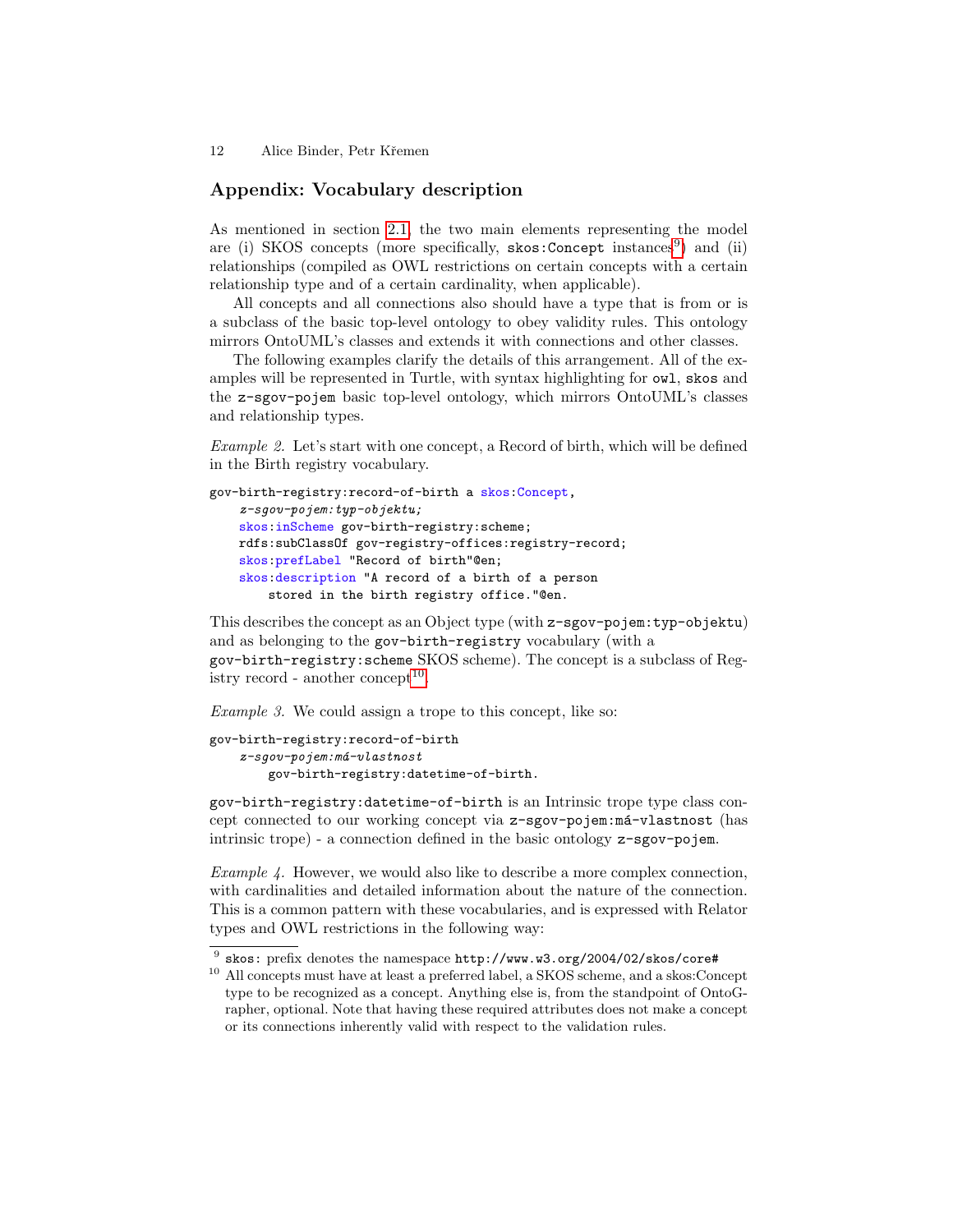# <span id="page-11-0"></span>Appendix: Vocabulary description

As mentioned in section [2.1,](#page-3-2) the two main elements representing the model are (i) SKOS concepts (more specifically, skos: Concept instances<sup>[9](#page-11-1)</sup>) and (ii) relationships (compiled as OWL restrictions on certain concepts with a certain relationship type and of a certain cardinality, when applicable).

All concepts and all connections also should have a type that is from or is a subclass of the basic top-level ontology to obey validity rules. This ontology mirrors OntoUML's classes and extends it with connections and other classes.

The following examples clarify the details of this arrangement. All of the examples will be represented in Turtle, with syntax highlighting for owl, skos and the z-sgov-pojem basic top-level ontology, which mirrors OntoUML's classes and relationship types.

Example 2. Let's start with one concept, a Record of birth, which will be defined in the Birth registry vocabulary.

```
gov-birth-registry:record-of-birth a skos:Concept,
    z-sgov-pojem:typ-objektu;
    skos:inScheme gov-birth-registry:scheme;
    rdfs:subClassOf gov-registry-offices:registry-record;
    skos:prefLabel "Record of birth"@en;
    skos:description "A record of a birth of a person
       stored in the birth registry office."@en.
```
This describes the concept as an Object type (with z-sgov-pojem:typ-objektu) and as belonging to the gov-birth-registry vocabulary (with a gov-birth-registry:scheme SKOS scheme). The concept is a subclass of Reg-istry record - another concept<sup>[10](#page-11-2)</sup>.

Example 3. We could assign a trope to this concept, like so:

```
gov-birth-registry:record-of-birth
    z-sqov-pojem: má-vlastnost
        gov-birth-registry:datetime-of-birth.
```
gov-birth-registry:datetime-of-birth is an Intrinsic trope type class concept connected to our working concept via z-sgov-pojem:má-vlastnost (has intrinsic trope) - a connection defined in the basic ontology z-sgov-pojem.

Example 4. However, we would also like to describe a more complex connection, with cardinalities and detailed information about the nature of the connection. This is a common pattern with these vocabularies, and is expressed with Relator types and OWL restrictions in the following way:

<span id="page-11-1"></span> $^9$  skos: prefix denotes the namespace  ${\tt http://www.w3.org/2004/02/skos/core#}$ 

<span id="page-11-2"></span><sup>10</sup> All concepts must have at least a preferred label, a SKOS scheme, and a skos:Concept type to be recognized as a concept. Anything else is, from the standpoint of OntoGrapher, optional. Note that having these required attributes does not make a concept or its connections inherently valid with respect to the validation rules.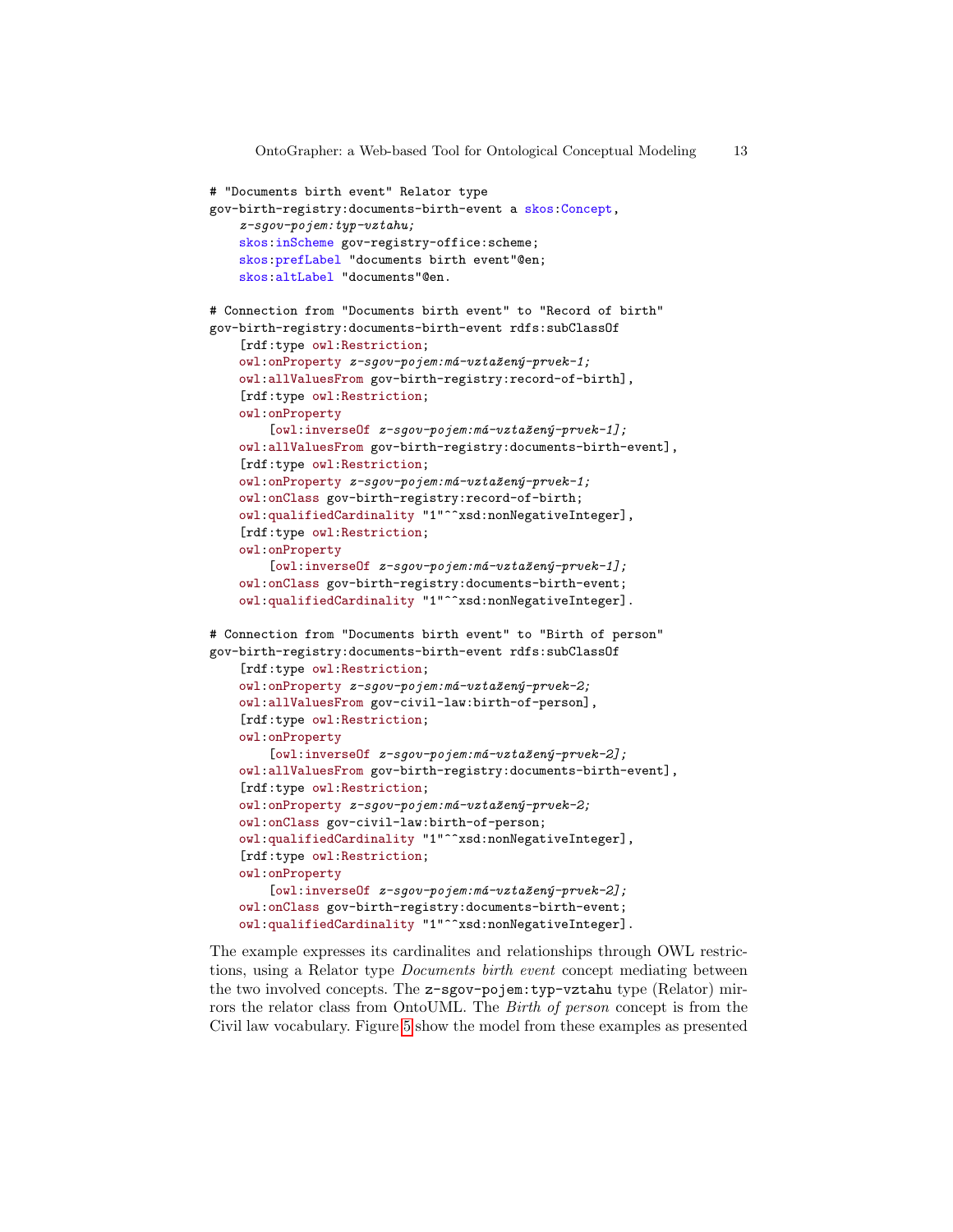```
# "Documents birth event" Relator type
gov-birth-registry:documents-birth-event a skos:Concept,
    z-sqov-pojem: typ-vztahu;
    skos:inScheme gov-registry-office:scheme;
    skos:prefLabel "documents birth event"@en;
    skos:altLabel "documents"@en.
# Connection from "Documents birth event" to "Record of birth"
gov-birth-registry:documents-birth-event rdfs:subClassOf
    [rdf:type owl:Restriction;
    owl:onProperty z-sqov-pojem:má-vztažený-prvek-1;
    owl:allValuesFrom gov-birth-registry:record-of-birth],
    [rdf:type owl:Restriction;
    owl:onProperty
        [owl:inverseOf z-sgov-pojem: má-vztažený-prvek-1];owl:allValuesFrom gov-birth-registry:documents-birth-event],
    [rdf:type owl:Restriction;
    owl:onProperty z-sgov-pojem:má-vztažený-prvek-1;
    owl:onClass gov-birth-registry:record-of-birth;
    owl:qualifiedCardinality "1"^^xsd:nonNegativeInteger],
    [rdf:type owl:Restriction;
    owl:onProperty
        [owl:inverseOf z-sgov-pojem: má-vztazeny-prock-1];owl:onClass gov-birth-registry:documents-birth-event;
    owl:qualifiedCardinality "1"^^xsd:nonNegativeInteger].
# Connection from "Documents birth event" to "Birth of person"
gov-birth-registry:documents-birth-event rdfs:subClassOf
    [rdf:type owl:Restriction;
    owl:onProperty z-sgov-pojem:má-vztažený-prvek-2;
    owl:allValuesFrom gov-civil-law:birth-of-person],
    [rdf:type owl:Restriction;
    owl:onProperty
        [owl:inverseOf z-sgov-pojem: má-vztažený-prock-2];owl:allValuesFrom gov-birth-registry:documents-birth-event],
    [rdf:type owl:Restriction;
    owl:onProperty z-sgov-pojem:má-vztažený-prvek-2;
    owl:onClass gov-civil-law:birth-of-person;
    owl:qualifiedCardinality "1"^^xsd:nonNegativeInteger],
    [rdf:type owl:Restriction;
    owl:onProperty
        [owl:inverseOf z-sgov-pojem: má-vztažený-prvek-2];owl:onClass gov-birth-registry:documents-birth-event;
    owl:qualifiedCardinality "1"^^xsd:nonNegativeInteger].
```
The example expresses its cardinalites and relationships through OWL restrictions, using a Relator type Documents birth event concept mediating between the two involved concepts. The z-sgov-pojem:typ-vztahu type (Relator) mirrors the relator class from OntoUML. The Birth of person concept is from the Civil law vocabulary. Figure [5](#page-13-5) show the model from these examples as presented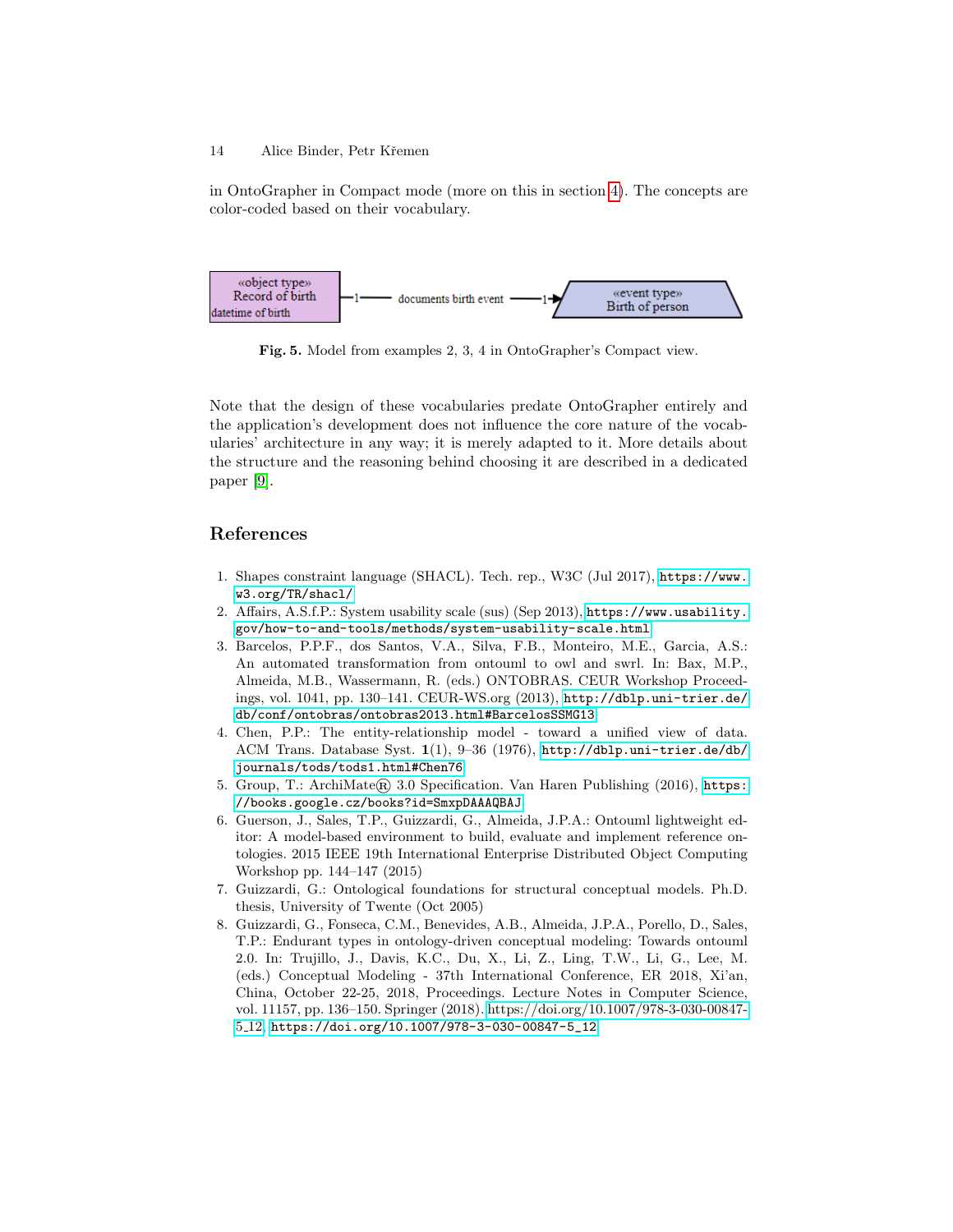in OntoGrapher in Compact mode (more on this in section [4\)](#page-4-2). The concepts are color-coded based on their vocabulary.



<span id="page-13-5"></span>Fig. 5. Model from examples 2, 3, 4 in OntoGrapher's Compact view.

Note that the design of these vocabularies predate OntoGrapher entirely and the application's development does not influence the core nature of the vocabularies' architecture in any way; it is merely adapted to it. More details about the structure and the reasoning behind choosing it are described in a dedicated paper [\[9\]](#page-14-2).

# References

- <span id="page-13-2"></span>1. Shapes constraint language (SHACL). Tech. rep., W3C (Jul 2017), [https://www.](https://www.w3.org/TR/shacl/) [w3.org/TR/shacl/](https://www.w3.org/TR/shacl/)
- <span id="page-13-3"></span>2. Affairs, A.S.f.P.: System usability scale (sus) (Sep 2013), [https://www.usability.](https://www.usability.gov/how-to-and-tools/methods/system-usability-scale.html) [gov/how-to-and-tools/methods/system-usability-scale.html](https://www.usability.gov/how-to-and-tools/methods/system-usability-scale.html)
- 3. Barcelos, P.P.F., dos Santos, V.A., Silva, F.B., Monteiro, M.E., Garcia, A.S.: An automated transformation from ontouml to owl and swrl. In: Bax, M.P., Almeida, M.B., Wassermann, R. (eds.) ONTOBRAS. CEUR Workshop Proceedings, vol. 1041, pp. 130–141. CEUR-WS.org (2013), [http://dblp.uni-trier.de/](http://dblp.uni-trier.de/db/conf/ontobras/ontobras2013.html#BarcelosSSMG13) [db/conf/ontobras/ontobras2013.html#BarcelosSSMG13](http://dblp.uni-trier.de/db/conf/ontobras/ontobras2013.html#BarcelosSSMG13)
- 4. Chen, P.P.: The entity-relationship model toward a unified view of data. ACM Trans. Database Syst. 1(1), 9–36 (1976), [http://dblp.uni-trier.de/db/](http://dblp.uni-trier.de/db/journals/tods/tods1.html#Chen76) [journals/tods/tods1.html#Chen76](http://dblp.uni-trier.de/db/journals/tods/tods1.html#Chen76)
- 5. Group, T.: ArchiMate® 3.0 Specification. Van Haren Publishing (2016), [https:](https://books.google.cz/books?id=SmxpDAAAQBAJ) [//books.google.cz/books?id=SmxpDAAAQBAJ](https://books.google.cz/books?id=SmxpDAAAQBAJ)
- <span id="page-13-4"></span>6. Guerson, J., Sales, T.P., Guizzardi, G., Almeida, J.P.A.: Ontouml lightweight editor: A model-based environment to build, evaluate and implement reference ontologies. 2015 IEEE 19th International Enterprise Distributed Object Computing Workshop pp. 144–147 (2015)
- <span id="page-13-1"></span>7. Guizzardi, G.: Ontological foundations for structural conceptual models. Ph.D. thesis, University of Twente (Oct 2005)
- <span id="page-13-0"></span>8. Guizzardi, G., Fonseca, C.M., Benevides, A.B., Almeida, J.P.A., Porello, D., Sales, T.P.: Endurant types in ontology-driven conceptual modeling: Towards ontouml 2.0. In: Trujillo, J., Davis, K.C., Du, X., Li, Z., Ling, T.W., Li, G., Lee, M. (eds.) Conceptual Modeling - 37th International Conference, ER 2018, Xi'an, China, October 22-25, 2018, Proceedings. Lecture Notes in Computer Science, vol. 11157, pp. 136–150. Springer (2018). [https://doi.org/10.1007/978-3-030-00847-](https://doi.org/10.1007/978-3-030-00847-5_12) 5 [12,](https://doi.org/10.1007/978-3-030-00847-5_12) [https://doi.org/10.1007/978-3-030-00847-5\\_12](https://doi.org/10.1007/978-3-030-00847-5_12)